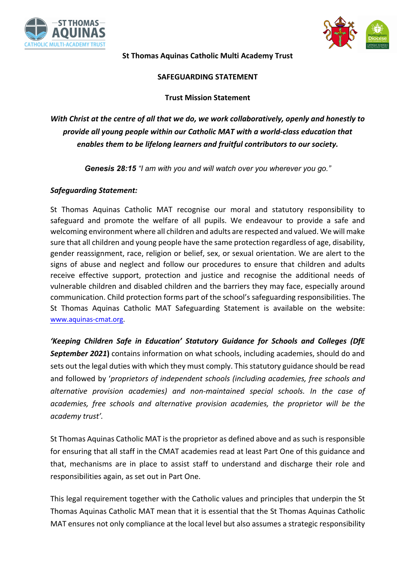



**St Thomas Aquinas Catholic Multi Academy Trust** 

### **SAFEGUARDING STATEMENT**

## **Trust Mission Statement**

*With Christ at the centre of all that we do, we work collaboratively, openly and honestly to provide all young people within our Catholic MAT with a world-class education that enables them to be lifelong learners and fruitful contributors to our society.* 

*Genesis 28:15 "I am with you and will watch over you wherever you go."*

## *Safeguarding Statement:*

St Thomas Aquinas Catholic MAT recognise our moral and statutory responsibility to safeguard and promote the welfare of all pupils. We endeavour to provide a safe and welcoming environment where all children and adults are respected and valued. We will make sure that all children and young people have the same protection regardless of age, disability, gender reassignment, race, religion or belief, sex, or sexual orientation. We are alert to the signs of abuse and neglect and follow our procedures to ensure that children and adults receive effective support, protection and justice and recognise the additional needs of vulnerable children and disabled children and the barriers they may face, especially around communication. Child protection forms part of the school's safeguarding responsibilities. The St Thomas Aquinas Catholic MAT Safeguarding Statement is available on the website: www.aquinas-cmat.org.

*'Keeping Children Safe in Education' Statutory Guidance for Schools and Colleges (DfE September 2021***)** contains information on what schools, including academies, should do and sets out the legal duties with which they must comply. This statutory guidance should be read and followed by '*proprietors of independent schools (including academies, free schools and alternative provision academies) and non-maintained special schools. In the case of academies, free schools and alternative provision academies, the proprietor will be the academy trust'.*

St Thomas Aquinas Catholic MAT is the proprietor as defined above and as such is responsible for ensuring that all staff in the CMAT academies read at least Part One of this guidance and that, mechanisms are in place to assist staff to understand and discharge their role and responsibilities again, as set out in Part One.

This legal requirement together with the Catholic values and principles that underpin the St Thomas Aquinas Catholic MAT mean that it is essential that the St Thomas Aquinas Catholic MAT ensures not only compliance at the local level but also assumes a strategic responsibility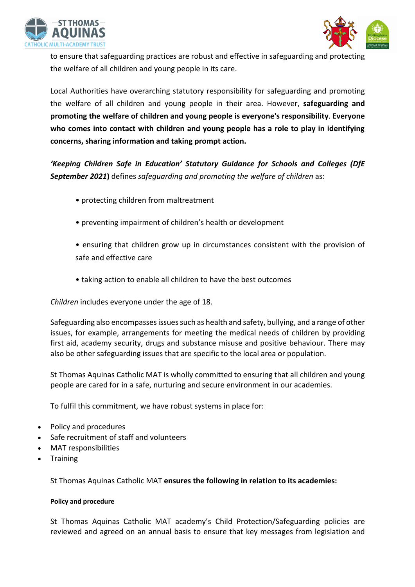



to ensure that safeguarding practices are robust and effective in safeguarding and protecting the welfare of all children and young people in its care.

Local Authorities have overarching statutory responsibility for safeguarding and promoting the welfare of all children and young people in their area. However, **safeguarding and promoting the welfare of children and young people is everyone's responsibility**. **Everyone who comes into contact with children and young people has a role to play in identifying concerns, sharing information and taking prompt action.** 

*'Keeping Children Safe in Education' Statutory Guidance for Schools and Colleges (DfE September 2021***)** defines *safeguarding and promoting the welfare of children* as:

- protecting children from maltreatment
- preventing impairment of children's health or development
- ensuring that children grow up in circumstances consistent with the provision of safe and effective care
- taking action to enable all children to have the best outcomes

*Children* includes everyone under the age of 18.

Safeguarding also encompasses issues such as health and safety, bullying, and a range of other issues, for example, arrangements for meeting the medical needs of children by providing first aid, academy security, drugs and substance misuse and positive behaviour. There may also be other safeguarding issues that are specific to the local area or population.

St Thomas Aquinas Catholic MAT is wholly committed to ensuring that all children and young people are cared for in a safe, nurturing and secure environment in our academies.

To fulfil this commitment, we have robust systems in place for:

- Policy and procedures
- Safe recruitment of staff and volunteers
- MAT responsibilities
- **Training**

St Thomas Aquinas Catholic MAT **ensures the following in relation to its academies:**

### **Policy and procedure**

St Thomas Aquinas Catholic MAT academy's Child Protection/Safeguarding policies are reviewed and agreed on an annual basis to ensure that key messages from legislation and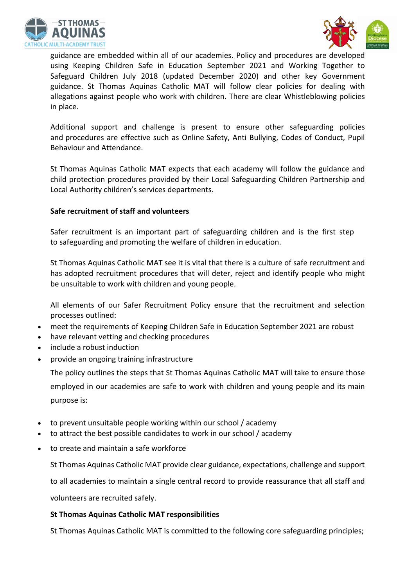



guidance are embedded within all of our academies. Policy and procedures are developed using Keeping Children Safe in Education September 2021 and Working Together to Safeguard Children July 2018 (updated December 2020) and other key Government guidance. St Thomas Aquinas Catholic MAT will follow clear policies for dealing with allegations against people who work with children. There are clear Whistleblowing policies in place.

Additional support and challenge is present to ensure other safeguarding policies and procedures are effective such as Online Safety, Anti Bullying, Codes of Conduct, Pupil Behaviour and Attendance.

St Thomas Aquinas Catholic MAT expects that each academy will follow the guidance and child protection procedures provided by their Local Safeguarding Children Partnership and Local Authority children's services departments.

### **Safe recruitment of staff and volunteers**

Safer recruitment is an important part of safeguarding children and is the first step to safeguarding and promoting the welfare of children in education.

St Thomas Aquinas Catholic MAT see it is vital that there is a culture of safe recruitment and has adopted recruitment procedures that will deter, reject and identify people who might be unsuitable to work with children and young people.

All elements of our Safer Recruitment Policy ensure that the recruitment and selection processes outlined:

- meet the requirements of Keeping Children Safe in Education September 2021 are robust
- have relevant vetting and checking procedures
- include a robust induction
- provide an ongoing training infrastructure

The policy outlines the steps that St Thomas Aquinas Catholic MAT will take to ensure those employed in our academies are safe to work with children and young people and its main purpose is:

- to prevent unsuitable people working within our school / academy
- to attract the best possible candidates to work in our school / academy
- to create and maintain a safe workforce

St Thomas Aquinas Catholic MAT provide clear guidance, expectations, challenge and support

to all academies to maintain a single central record to provide reassurance that all staff and volunteers are recruited safely.

### **St Thomas Aquinas Catholic MAT responsibilities**

St Thomas Aquinas Catholic MAT is committed to the following core safeguarding principles;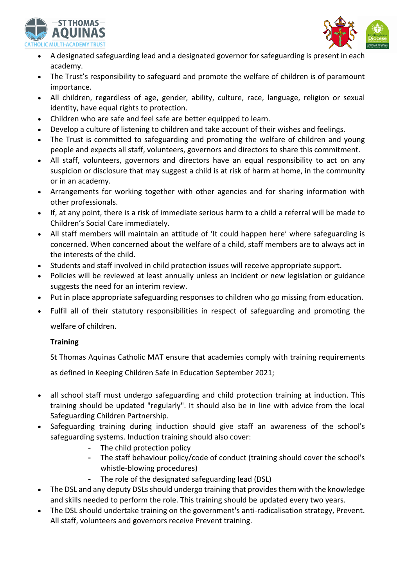



- A designated safeguarding lead and a designated governor for safeguarding is present in each academy.
- The Trust's responsibility to safeguard and promote the welfare of children is of paramount importance.
- All children, regardless of age, gender, ability, culture, race, language, religion or sexual identity, have equal rights to protection.
- Children who are safe and feel safe are better equipped to learn.
- Develop a culture of listening to children and take account of their wishes and feelings.
- The Trust is committed to safeguarding and promoting the welfare of children and young people and expects all staff, volunteers, governors and directors to share this commitment.
- All staff, volunteers, governors and directors have an equal responsibility to act on any suspicion or disclosure that may suggest a child is at risk of harm at home, in the community or in an academy.
- Arrangements for working together with other agencies and for sharing information with other professionals.
- If, at any point, there is a risk of immediate serious harm to a child a referral will be made to Children's Social Care immediately.
- All staff members will maintain an attitude of 'It could happen here' where safeguarding is concerned. When concerned about the welfare of a child, staff members are to always act in the interests of the child.
- Students and staff involved in child protection issues will receive appropriate support.
- Policies will be reviewed at least annually unless an incident or new legislation or guidance suggests the need for an interim review.
- Put in place appropriate safeguarding responses to children who go missing from education.
- Fulfil all of their statutory responsibilities in respect of safeguarding and promoting the welfare of children.

# **Training**

St Thomas Aquinas Catholic MAT ensure that academies comply with training requirements

as defined in Keeping Children Safe in Education September 2021;

- all school staff must undergo safeguarding and child protection training at induction. This training should be updated "regularly". It should also be in line with advice from the local Safeguarding Children Partnership.
- Safeguarding training during induction should give staff an awareness of the school's safeguarding systems. Induction training should also cover:
	- The child protection policy
	- The staff behaviour policy/code of conduct (training should cover the school's whistle-blowing procedures)
	- The role of the designated safeguarding lead (DSL)
- The DSL and any deputy DSLs should undergo training that provides them with the knowledge and skills needed to perform the role. This training should be updated every two years.
- The DSL should undertake training on the government's anti-radicalisation strategy, Prevent. All staff, volunteers and governors receive Prevent training.